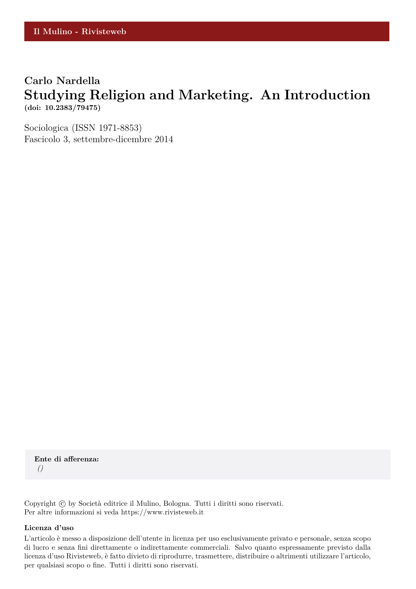## **Carlo Nardella Studying Religion and Marketing. An Introduction (doi: 10.2383/79475)**

Sociologica (ISSN 1971-8853) Fascicolo 3, settembre-dicembre 2014

**Ente di afferenza:** *()*

Copyright © by Società editrice il Mulino, Bologna. Tutti i diritti sono riservati. Per altre informazioni si veda https://www.rivisteweb.it

#### **Licenza d'uso**

L'articolo è messo a disposizione dell'utente in licenza per uso esclusivamente privato e personale, senza scopo di lucro e senza fini direttamente o indirettamente commerciali. Salvo quanto espressamente previsto dalla licenza d'uso Rivisteweb, è fatto divieto di riprodurre, trasmettere, distribuire o altrimenti utilizzare l'articolo, per qualsiasi scopo o fine. Tutti i diritti sono riservati.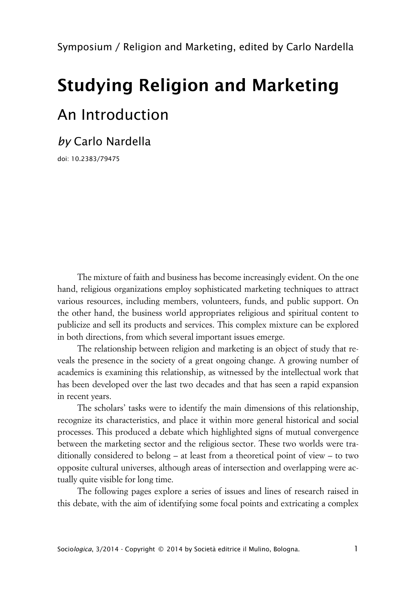Symposium / Religion and Marketing, edited by Carlo Nardella

# **Studying Religion and Marketing**

## An Introduction

## *by* Carlo Nardella

doi: 10.2383/79475

The mixture of faith and business has become increasingly evident. On the one hand, religious organizations employ sophisticated marketing techniques to attract various resources, including members, volunteers, funds, and public support. On the other hand, the business world appropriates religious and spiritual content to publicize and sell its products and services. This complex mixture can be explored in both directions, from which several important issues emerge.

The relationship between religion and marketing is an object of study that reveals the presence in the society of a great ongoing change. A growing number of academics is examining this relationship, as witnessed by the intellectual work that has been developed over the last two decades and that has seen a rapid expansion in recent years.

The scholars' tasks were to identify the main dimensions of this relationship, recognize its characteristics, and place it within more general historical and social processes. This produced a debate which highlighted signs of mutual convergence between the marketing sector and the religious sector. These two worlds were traditionally considered to belong – at least from a theoretical point of view – to two opposite cultural universes, although areas of intersection and overlapping were actually quite visible for long time.

The following pages explore a series of issues and lines of research raised in this debate, with the aim of identifying some focal points and extricating a complex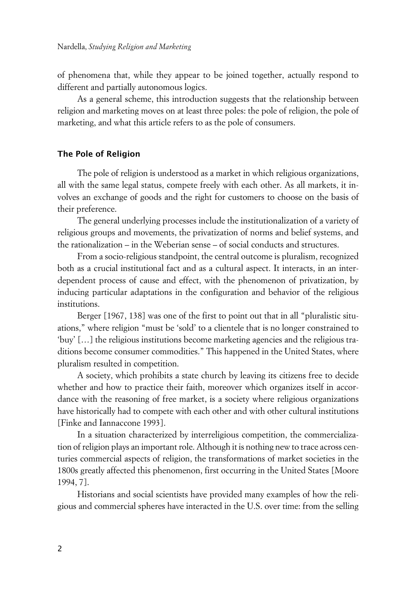of phenomena that, while they appear to be joined together, actually respond to different and partially autonomous logics.

As a general scheme, this introduction suggests that the relationship between religion and marketing moves on at least three poles: the pole of religion, the pole of marketing, and what this article refers to as the pole of consumers.

#### **xThe Pole of Religion**

The pole of religion is understood as a market in which religious organizations, all with the same legal status, compete freely with each other. As all markets, it involves an exchange of goods and the right for customers to choose on the basis of their preference.

The general underlying processes include the institutionalization of a variety of religious groups and movements, the privatization of norms and belief systems, and the rationalization – in the Weberian sense – of social conducts and structures.

From a socio-religious standpoint, the central outcome is pluralism, recognized both as a crucial institutional fact and as a cultural aspect. It interacts, in an interdependent process of cause and effect, with the phenomenon of privatization, by inducing particular adaptations in the configuration and behavior of the religious institutions.

Berger [1967, 138] was one of the first to point out that in all "pluralistic situations," where religion "must be 'sold' to a clientele that is no longer constrained to 'buy' […] the religious institutions become marketing agencies and the religious traditions become consumer commodities." This happened in the United States, where pluralism resulted in competition.

A society, which prohibits a state church by leaving its citizens free to decide whether and how to practice their faith, moreover which organizes itself in accordance with the reasoning of free market, is a society where religious organizations have historically had to compete with each other and with other cultural institutions [Finke and Iannaccone 1993].

In a situation characterized by interreligious competition, the commercialization of religion plays an important role. Although it is nothing new to trace across centuries commercial aspects of religion, the transformations of market societies in the 1800s greatly affected this phenomenon, first occurring in the United States [Moore 1994, 7].

Historians and social scientists have provided many examples of how the religious and commercial spheres have interacted in the U.S. over time: from the selling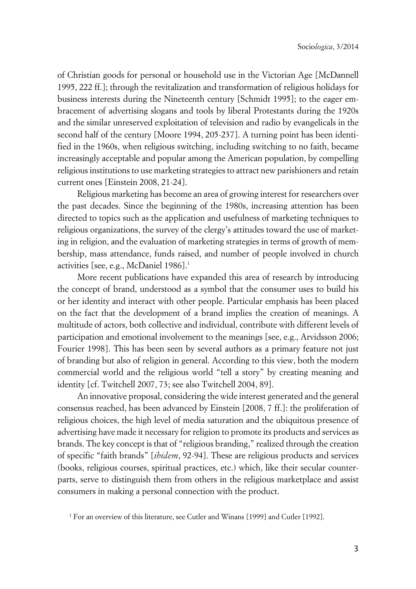of Christian goods for personal or household use in the Victorian Age [McDannell 1995, 222 ff.]; through the revitalization and transformation of religious holidays for business interests during the Nineteenth century [Schmidt 1995]; to the eager embracement of advertising slogans and tools by liberal Protestants during the 1920s and the similar unreserved exploitation of television and radio by evangelicals in the second half of the century [Moore 1994, 205-237]. A turning point has been identified in the 1960s, when religious switching, including switching to no faith, became increasingly acceptable and popular among the American population, by compelling religious institutions to use marketing strategies to attract new parishioners and retain current ones [Einstein 2008, 21-24].

Religious marketing has become an area of growing interest for researchers over the past decades. Since the beginning of the 1980s, increasing attention has been directed to topics such as the application and usefulness of marketing techniques to religious organizations, the survey of the clergy's attitudes toward the use of marketing in religion, and the evaluation of marketing strategies in terms of growth of membership, mass attendance, funds raised, and number of people involved in church activities [see, e.g., McDaniel 1986].<sup>1</sup>

More recent publications have expanded this area of research by introducing the concept of brand, understood as a symbol that the consumer uses to build his or her identity and interact with other people. Particular emphasis has been placed on the fact that the development of a brand implies the creation of meanings. A multitude of actors, both collective and individual, contribute with different levels of participation and emotional involvement to the meanings [see, e.g., Arvidsson 2006; Fourier 1998]. This has been seen by several authors as a primary feature not just of branding but also of religion in general. According to this view, both the modern commercial world and the religious world "tell a story" by creating meaning and identity [cf. Twitchell 2007, 73; see also Twitchell 2004, 89].

An innovative proposal, considering the wide interest generated and the general consensus reached, has been advanced by Einstein [2008, 7 ff.]: the proliferation of religious choices, the high level of media saturation and the ubiquitous presence of advertising have made it necessary for religion to promote its products and services as brands. The key concept is that of "religious branding," realized through the creation of specific "faith brands" [*ibidem*, 92-94]. These are religious products and services (books, religious courses, spiritual practices, etc.) which, like their secular counterparts, serve to distinguish them from others in the religious marketplace and assist consumers in making a personal connection with the product.

<sup>1</sup> For an overview of this literature, see Cutler and Winans [1999] and Cutler [1992].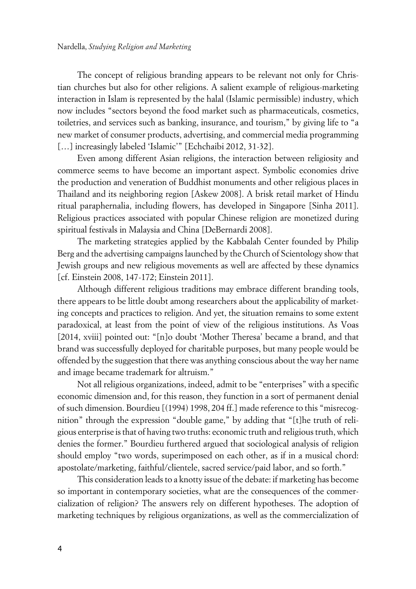The concept of religious branding appears to be relevant not only for Christian churches but also for other religions. A salient example of religious-marketing interaction in Islam is represented by the halal (Islamic permissible) industry, which now includes "sectors beyond the food market such as pharmaceuticals, cosmetics, toiletries, and services such as banking, insurance, and tourism," by giving life to "a new market of consumer products, advertising, and commercial media programming [...] increasingly labeled 'Islamic'" [Echchaibi 2012, 31-32].

Even among different Asian religions, the interaction between religiosity and commerce seems to have become an important aspect. Symbolic economies drive the production and veneration of Buddhist monuments and other religious places in Thailand and its neighboring region [Askew 2008]. A brisk retail market of Hindu ritual paraphernalia, including flowers, has developed in Singapore [Sinha 2011]. Religious practices associated with popular Chinese religion are monetized during spiritual festivals in Malaysia and China [DeBernardi 2008].

The marketing strategies applied by the Kabbalah Center founded by Philip Berg and the advertising campaigns launched by the Church of Scientology show that Jewish groups and new religious movements as well are affected by these dynamics [cf. Einstein 2008, 147-172; Einstein 2011].

Although different religious traditions may embrace different branding tools, there appears to be little doubt among researchers about the applicability of marketing concepts and practices to religion. And yet, the situation remains to some extent paradoxical, at least from the point of view of the religious institutions. As Voas [2014, xviii] pointed out: "[n]o doubt 'Mother Theresa' became a brand, and that brand was successfully deployed for charitable purposes, but many people would be offended by the suggestion that there was anything conscious about the way her name and image became trademark for altruism."

Not all religious organizations, indeed, admit to be "enterprises" with a specific economic dimension and, for this reason, they function in a sort of permanent denial of such dimension. Bourdieu [(1994) 1998, 204 ff.] made reference to this "misrecognition" through the expression "double game," by adding that "[t]he truth of religious enterprise is that of having two truths: economic truth and religious truth, which denies the former." Bourdieu furthered argued that sociological analysis of religion should employ "two words, superimposed on each other, as if in a musical chord: apostolate/marketing, faithful/clientele, sacred service/paid labor, and so forth."

This consideration leads to a knotty issue of the debate: if marketing has become so important in contemporary societies, what are the consequences of the commercialization of religion? The answers rely on different hypotheses. The adoption of marketing techniques by religious organizations, as well as the commercialization of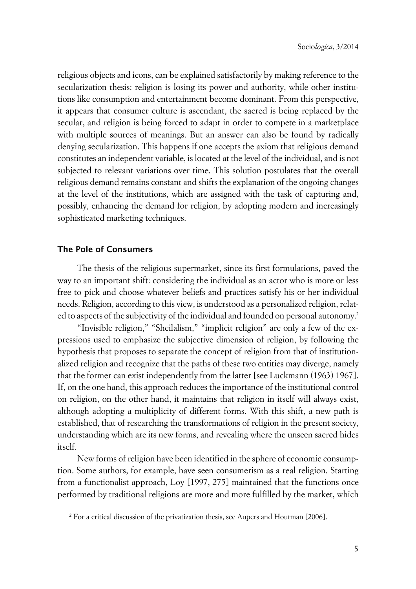religious objects and icons, can be explained satisfactorily by making reference to the secularization thesis: religion is losing its power and authority, while other institutions like consumption and entertainment become dominant. From this perspective, it appears that consumer culture is ascendant, the sacred is being replaced by the secular, and religion is being forced to adapt in order to compete in a marketplace with multiple sources of meanings. But an answer can also be found by radically denying secularization. This happens if one accepts the axiom that religious demand constitutes an independent variable, is located at the level of the individual, and is not subjected to relevant variations over time. This solution postulates that the overall religious demand remains constant and shifts the explanation of the ongoing changes at the level of the institutions, which are assigned with the task of capturing and, possibly, enhancing the demand for religion, by adopting modern and increasingly sophisticated marketing techniques.

#### **xThe Pole of Consumers**

The thesis of the religious supermarket, since its first formulations, paved the way to an important shift: considering the individual as an actor who is more or less free to pick and choose whatever beliefs and practices satisfy his or her individual needs. Religion, according to this view, is understood as a personalized religion, related to aspects of the subjectivity of the individual and founded on personal autonomy.<sup>2</sup>

"Invisible religion," "Sheilalism," "implicit religion" are only a few of the expressions used to emphasize the subjective dimension of religion, by following the hypothesis that proposes to separate the concept of religion from that of institutionalized religion and recognize that the paths of these two entities may diverge, namely that the former can exist independently from the latter [see Luckmann (1963) 1967]. If, on the one hand, this approach reduces the importance of the institutional control on religion, on the other hand, it maintains that religion in itself will always exist, although adopting a multiplicity of different forms. With this shift, a new path is established, that of researching the transformations of religion in the present society, understanding which are its new forms, and revealing where the unseen sacred hides itself.

New forms of religion have been identified in the sphere of economic consumption. Some authors, for example, have seen consumerism as a real religion. Starting from a functionalist approach, Loy [1997, 275] maintained that the functions once performed by traditional religions are more and more fulfilled by the market, which  $\mathbf{r}$ 

<sup>&</sup>lt;sup>2</sup> For a critical discussion of the privatization thesis, see Aupers and Houtman [2006].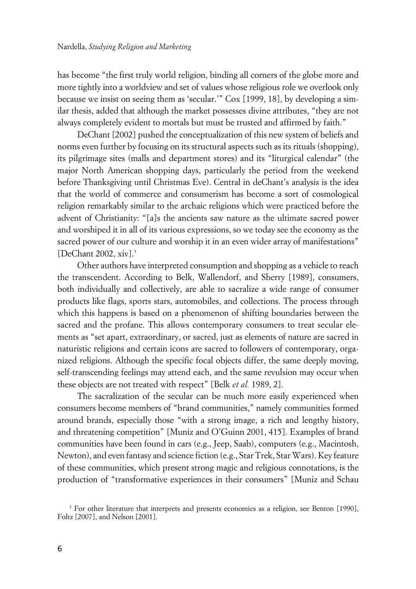has become "the first truly world religion, binding all corners of the globe more and more tightly into a worldview and set of values whose religious role we overlook only because we insist on seeing them as 'secular.'" Cox [1999, 18], by developing a similar thesis, added that although the market possesses divine attributes, "they are not always completely evident to mortals but must be trusted and affirmed by faith."

DeChant [2002] pushed the conceptualization of this new system of beliefs and norms even further by focusing on its structural aspects such as its rituals (shopping), its pilgrimage sites (malls and department stores) and its "liturgical calendar" (the major North American shopping days, particularly the period from the weekend before Thanksgiving until Christmas Eve). Central in deChant's analysis is the idea that the world of commerce and consumerism has become a sort of cosmological religion remarkably similar to the archaic religions which were practiced before the advent of Christianity: "[a]s the ancients saw nature as the ultimate sacred power and worshiped it in all of its various expressions, so we today see the economy as the sacred power of our culture and worship it in an even wider array of manifestations" [DeChant 2002,  $xiv$ ].<sup>3</sup>

Other authors have interpreted consumption and shopping as a vehicle to reach the transcendent. According to Belk, Wallendorf, and Sherry [1989], consumers, both individually and collectively, are able to sacralize a wide range of consumer products like flags, sports stars, automobiles, and collections. The process through which this happens is based on a phenomenon of shifting boundaries between the sacred and the profane. This allows contemporary consumers to treat secular elements as "set apart, extraordinary, or sacred, just as elements of nature are sacred in naturistic religions and certain icons are sacred to followers of contemporary, organized religions. Although the specific focal objects differ, the same deeply moving, self-transcending feelings may attend each, and the same revulsion may occur when these objects are not treated with respect" [Belk *et al.* 1989, 2].

The sacralization of the secular can be much more easily experienced when consumers become members of "brand communities," namely communities formed around brands, especially those "with a strong image, a rich and lengthy history, and threatening competition" [Muniz and O'Guinn 2001, 415]. Examples of brand communities have been found in cars (e.g., Jeep, Saab), computers (e.g., Macintosh, Newton), and even fantasy and science fiction (e.g., Star Trek, Star Wars). Key feature of these communities, which present strong magic and religious connotations, is the production of "transformative experiences in their consumers" [Muniz and Schau

<sup>&</sup>lt;sup>3</sup> For other literature that interprets and presents economics as a religion, see Benton [1990], Foltz [2007], and Nelson [2001].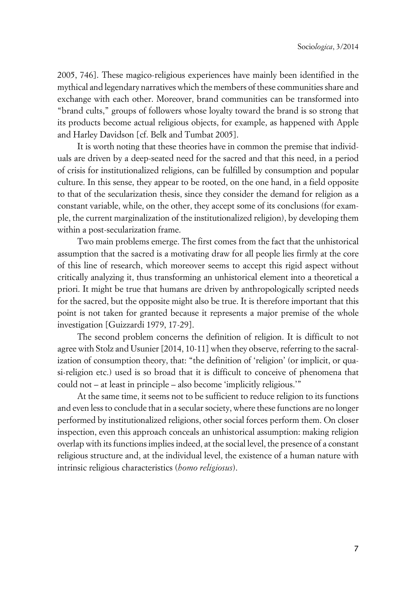2005, 746]. These magico-religious experiences have mainly been identified in the mythical and legendary narratives which the members of these communities share and exchange with each other. Moreover, brand communities can be transformed into "brand cults," groups of followers whose loyalty toward the brand is so strong that its products become actual religious objects, for example, as happened with Apple and Harley Davidson [cf. Belk and Tumbat 2005].

It is worth noting that these theories have in common the premise that individuals are driven by a deep-seated need for the sacred and that this need, in a period of crisis for institutionalized religions, can be fulfilled by consumption and popular culture. In this sense, they appear to be rooted, on the one hand, in a field opposite to that of the secularization thesis, since they consider the demand for religion as a constant variable, while, on the other, they accept some of its conclusions (for example, the current marginalization of the institutionalized religion), by developing them within a post-secularization frame.

Two main problems emerge. The first comes from the fact that the unhistorical assumption that the sacred is a motivating draw for all people lies firmly at the core of this line of research, which moreover seems to accept this rigid aspect without critically analyzing it, thus transforming an unhistorical element into a theoretical a priori. It might be true that humans are driven by anthropologically scripted needs for the sacred, but the opposite might also be true. It is therefore important that this point is not taken for granted because it represents a major premise of the whole investigation [Guizzardi 1979, 17-29].

The second problem concerns the definition of religion. It is difficult to not agree with Stolz and Usunier [2014, 10-11] when they observe, referring to the sacralization of consumption theory, that: "the definition of 'religion' (or implicit, or quasi-religion etc.) used is so broad that it is difficult to conceive of phenomena that could not – at least in principle – also become 'implicitly religious.'"

At the same time, it seems not to be sufficient to reduce religion to its functions and even less to conclude that in a secular society, where these functions are no longer performed by institutionalized religions, other social forces perform them. On closer inspection, even this approach conceals an unhistorical assumption: making religion overlap with its functions implies indeed, at the social level, the presence of a constant religious structure and, at the individual level, the existence of a human nature with intrinsic religious characteristics (*homo religiosus*).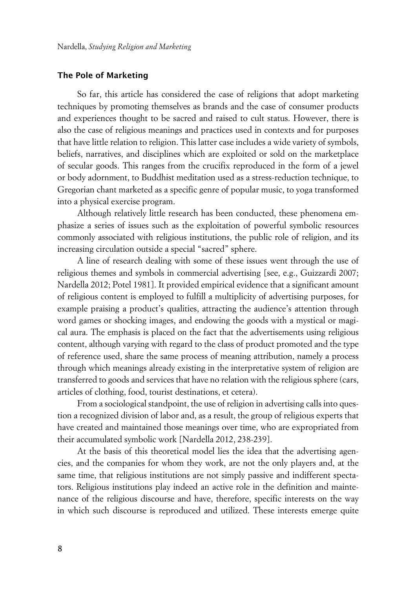#### **xThe Pole of Marketing**

So far, this article has considered the case of religions that adopt marketing techniques by promoting themselves as brands and the case of consumer products and experiences thought to be sacred and raised to cult status. However, there is also the case of religious meanings and practices used in contexts and for purposes that have little relation to religion. This latter case includes a wide variety of symbols, beliefs, narratives, and disciplines which are exploited or sold on the marketplace of secular goods. This ranges from the crucifix reproduced in the form of a jewel or body adornment, to Buddhist meditation used as a stress-reduction technique, to Gregorian chant marketed as a specific genre of popular music, to yoga transformed into a physical exercise program.

Although relatively little research has been conducted, these phenomena emphasize a series of issues such as the exploitation of powerful symbolic resources commonly associated with religious institutions, the public role of religion, and its increasing circulation outside a special "sacred" sphere.

A line of research dealing with some of these issues went through the use of religious themes and symbols in commercial advertising [see, e.g., Guizzardi 2007; Nardella 2012; Potel 1981]. It provided empirical evidence that a significant amount of religious content is employed to fulfill a multiplicity of advertising purposes, for example praising a product's qualities, attracting the audience's attention through word games or shocking images, and endowing the goods with a mystical or magical aura. The emphasis is placed on the fact that the advertisements using religious content, although varying with regard to the class of product promoted and the type of reference used, share the same process of meaning attribution, namely a process through which meanings already existing in the interpretative system of religion are transferred to goods and services that have no relation with the religious sphere (cars, articles of clothing, food, tourist destinations, et cetera).

From a sociological standpoint, the use of religion in advertising calls into question a recognized division of labor and, as a result, the group of religious experts that have created and maintained those meanings over time, who are expropriated from their accumulated symbolic work [Nardella 2012, 238-239].

At the basis of this theoretical model lies the idea that the advertising agencies, and the companies for whom they work, are not the only players and, at the same time, that religious institutions are not simply passive and indifferent spectators. Religious institutions play indeed an active role in the definition and maintenance of the religious discourse and have, therefore, specific interests on the way in which such discourse is reproduced and utilized. These interests emerge quite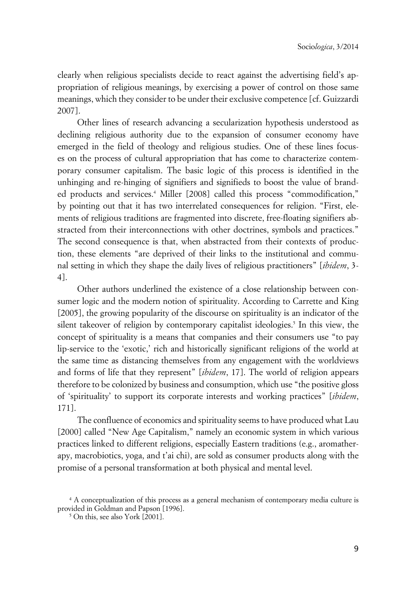clearly when religious specialists decide to react against the advertising field's appropriation of religious meanings, by exercising a power of control on those same meanings, which they consider to be under their exclusive competence [cf. Guizzardi 2007].

Other lines of research advancing a secularization hypothesis understood as declining religious authority due to the expansion of consumer economy have emerged in the field of theology and religious studies. One of these lines focuses on the process of cultural appropriation that has come to characterize contemporary consumer capitalism. The basic logic of this process is identified in the unhinging and re-hinging of signifiers and signifieds to boost the value of branded products and services.<sup>4</sup> Miller [2008] called this process "commodification," by pointing out that it has two interrelated consequences for religion. "First, elements of religious traditions are fragmented into discrete, free-floating signifiers abstracted from their interconnections with other doctrines, symbols and practices." The second consequence is that, when abstracted from their contexts of production, these elements "are deprived of their links to the institutional and communal setting in which they shape the daily lives of religious practitioners" [*ibidem*, 3- 4].

Other authors underlined the existence of a close relationship between consumer logic and the modern notion of spirituality. According to Carrette and King [2005], the growing popularity of the discourse on spirituality is an indicator of the silent takeover of religion by contemporary capitalist ideologies.<sup>5</sup> In this view, the concept of spirituality is a means that companies and their consumers use "to pay lip-service to the 'exotic,' rich and historically significant religions of the world at the same time as distancing themselves from any engagement with the worldviews and forms of life that they represent" [*ibidem*, 17]. The world of religion appears therefore to be colonized by business and consumption, which use "the positive gloss of 'spirituality' to support its corporate interests and working practices" [*ibidem*, 171].

The confluence of economics and spirituality seems to have produced what Lau [2000] called "New Age Capitalism," namely an economic system in which various practices linked to different religions, especially Eastern traditions (e.g., aromatherapy, macrobiotics, yoga, and t'ai chi), are sold as consumer products along with the promise of a personal transformation at both physical and mental level.

<sup>4</sup> A conceptualization of this process as a general mechanism of contemporary media culture is provided in Goldman and Papson [1996].

<sup>5</sup> On this, see also York [2001].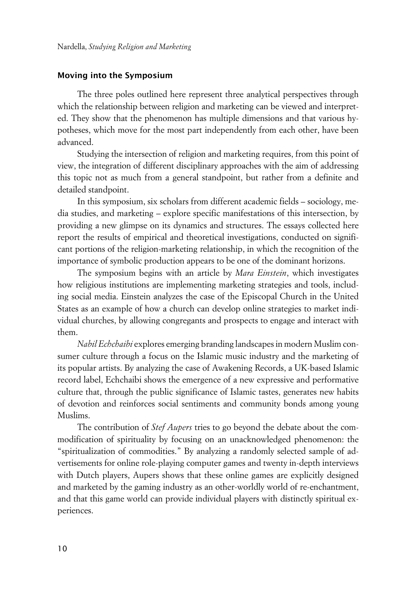#### **xMoving into the Symposium**

The three poles outlined here represent three analytical perspectives through which the relationship between religion and marketing can be viewed and interpreted. They show that the phenomenon has multiple dimensions and that various hypotheses, which move for the most part independently from each other, have been advanced.

Studying the intersection of religion and marketing requires, from this point of view, the integration of different disciplinary approaches with the aim of addressing this topic not as much from a general standpoint, but rather from a definite and detailed standpoint.

In this symposium, six scholars from different academic fields – sociology, media studies, and marketing – explore specific manifestations of this intersection, by providing a new glimpse on its dynamics and structures. The essays collected here report the results of empirical and theoretical investigations, conducted on significant portions of the religion-marketing relationship, in which the recognition of the importance of symbolic production appears to be one of the dominant horizons.

The symposium begins with an article by *Mara Einstein*, which investigates how religious institutions are implementing marketing strategies and tools, including social media. Einstein analyzes the case of the Episcopal Church in the United States as an example of how a church can develop online strategies to market individual churches, by allowing congregants and prospects to engage and interact with them.

*Nabil Echchaibi* explores emerging branding landscapes in modern Muslim consumer culture through a focus on the Islamic music industry and the marketing of its popular artists. By analyzing the case of Awakening Records, a UK-based Islamic record label, Echchaibi shows the emergence of a new expressive and performative culture that, through the public significance of Islamic tastes, generates new habits of devotion and reinforces social sentiments and community bonds among young Muslims.

The contribution of *Stef Aupers* tries to go beyond the debate about the commodification of spirituality by focusing on an unacknowledged phenomenon: the "spiritualization of commodities." By analyzing a randomly selected sample of advertisements for online role-playing computer games and twenty in-depth interviews with Dutch players, Aupers shows that these online games are explicitly designed and marketed by the gaming industry as an other-worldly world of re-enchantment, and that this game world can provide individual players with distinctly spiritual experiences.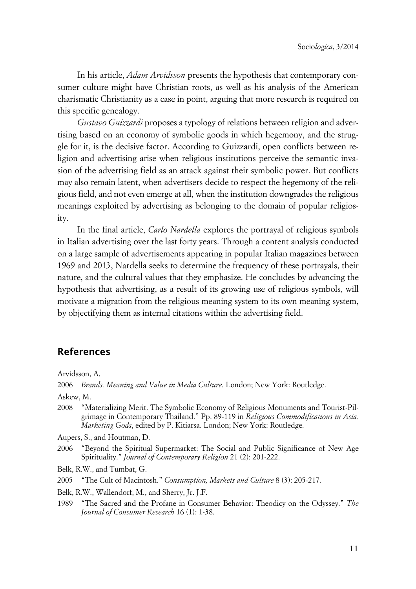In his article, *Adam Arvidsson* presents the hypothesis that contemporary consumer culture might have Christian roots, as well as his analysis of the American charismatic Christianity as a case in point, arguing that more research is required on this specific genealogy.

*Gustavo Guizzardi* proposes a typology of relations between religion and advertising based on an economy of symbolic goods in which hegemony, and the struggle for it, is the decisive factor. According to Guizzardi, open conflicts between religion and advertising arise when religious institutions perceive the semantic invasion of the advertising field as an attack against their symbolic power. But conflicts may also remain latent, when advertisers decide to respect the hegemony of the religious field, and not even emerge at all, when the institution downgrades the religious meanings exploited by advertising as belonging to the domain of popular religiosity.

In the final article, *Carlo Nardella* explores the portrayal of religious symbols in Italian advertising over the last forty years. Through a content analysis conducted on a large sample of advertisements appearing in popular Italian magazines between 1969 and 2013, Nardella seeks to determine the frequency of these portrayals, their nature, and the cultural values that they emphasize. He concludes by advancing the hypothesis that advertising, as a result of its growing use of religious symbols, will motivate a migration from the religious meaning system to its own meaning system, by objectifying them as internal citations within the advertising field.

## **References**

Arvidsson, A.

2006 *Brands. Meaning and Value in Media Culture*. London; New York: Routledge.

Askew, M.

2008 "Materializing Merit. The Symbolic Economy of Religious Monuments and Tourist-Pilgrimage in Contemporary Thailand." Pp. 89-119 in *Religious Commodifications in Asia. Marketing Gods*, edited by P. Kitiarsa. London; New York: Routledge.

Aupers, S., and Houtman, D.

2006 "Beyond the Spiritual Supermarket: The Social and Public Significance of New Age Spirituality." *Journal of Contemporary Religion* 21 (2): 201-222.

Belk, R.W., and Tumbat, G.

2005 "The Cult of Macintosh." *Consumption, Markets and Culture* 8 (3): 205-217.

Belk, R.W., Wallendorf, M., and Sherry, Jr. J.F.

1989 "The Sacred and the Profane in Consumer Behavior: Theodicy on the Odyssey." *The Journal of Consumer Research* 16 (1): 1-38.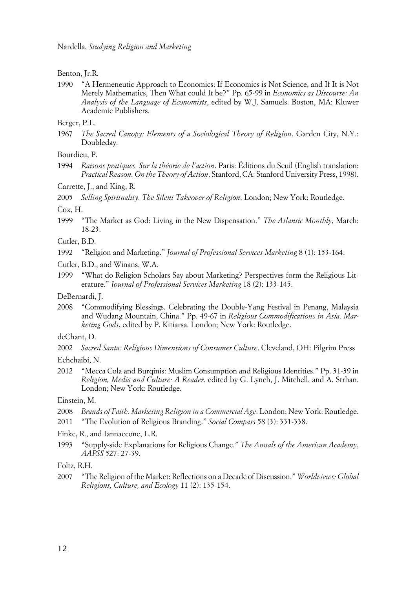Benton, Jr.R.

1990 "A Hermeneutic Approach to Economics: If Economics is Not Science, and If It is Not Merely Mathematics, Then What could It be?" Pp. 65-99 in *Economics as Discourse: An Analysis of the Language of Economists*, edited by W.J. Samuels. Boston, MA: Kluwer Academic Publishers.

Berger, P.L.

- 1967 *The Sacred Canopy: Elements of a Sociological Theory of Religion*. Garden City, N.Y.: Doubleday.
- Bourdieu, P.
- 1994 *Raisons pratiques. Sur la théorie de l'action*. Paris: Éditions du Seuil (English translation: *Practical Reason. On the Theory of Action*. Stanford, CA: Stanford University Press, 1998).
- Carrette, J., and King, R.
- 2005 *Selling Spirituality. The Silent Takeover of Religion*. London; New York: Routledge.

Cox, H.

1999 "The Market as God: Living in the New Dispensation." *The Atlantic Monthly*, March: 18-23.

Cutler, B.D.

1992 "Religion and Marketing." *Journal of Professional Services Marketing* 8 (1): 153-164.

Cutler, B.D., and Winans, W.A.

1999 "What do Religion Scholars Say about Marketing? Perspectives form the Religious Literature." *Journal of Professional Services Marketing* 18 (2): 133-145.

DeBernardi, J.

2008 "Commodifying Blessings. Celebrating the Double-Yang Festival in Penang, Malaysia and Wudang Mountain, China." Pp. 49-67 in *Religious Commodifications in Asia. Marketing Gods*, edited by P. Kitiarsa. London; New York: Routledge.

deChant, D.

2002 *Sacred Santa: Religious Dimensions of Consumer Culture*. Cleveland, OH: Pilgrim Press

Echchaibi, N.

2012 "Mecca Cola and Burqinis: Muslim Consumption and Religious Identities." Pp. 31-39 in *Religion, Media and Culture: A Reader*, edited by G. Lynch, J. Mitchell, and A. Strhan. London; New York: Routledge.

Einstein, M.

- 2008 *Brands of Faith. Marketing Religion in a Commercial Age*. London; New York: Routledge.
- 2011 "The Evolution of Religious Branding." *Social Compass* 58 (3): 331-338.
- Finke, R., and Iannaccone, L.R.
- 1993 "Supply-side Explanations for Religious Change." *The Annals of the American Academy*, *AAPSS* 527: 27-39.

Foltz, R.H.

2007 "The Religion of the Market: Reflections on a Decade of Discussion." *Worldviews: Global Religions, Culture, and Ecology* 11 (2): 135-154.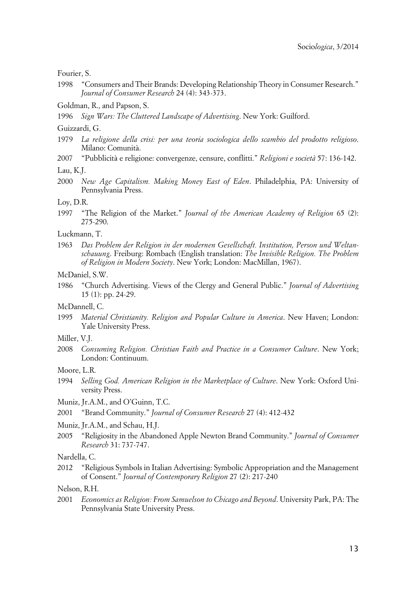Fourier, S.

1998 "Consumers and Their Brands: Developing Relationship Theory in Consumer Research." *Journal of Consumer Research* 24 (4): 343-373.

Goldman, R., and Papson, S.

1996 *Sign Wars: The Cluttered Landscape of Advertising*. New York: Guilford.

Guizzardi, G.

- 1979 *La religione della crisi: per una teoria sociologica dello scambio del prodotto religioso*. Milano: Comunità.
- 2007 "Pubblicità e religione: convergenze, censure, conflitti." *Religioni e società* 57: 136-142.

Lau, K.J.

2000 *New Age Capitalism. Making Money East of Eden*. Philadelphia, PA: University of Pennsylvania Press.

#### Loy, D.R.

1997 "The Religion of the Market." *Journal of the American Academy of Religion* 65 (2): 275-290.

#### Luckmann, T.

1963 *Das Problem der Religion in der modernen Gesellschaft. Institution, Person und Weltanschauung*. Freiburg: Rombach (English translation: *The Invisible Religion. The Problem of Religion in Modern Society*. New York; London: MacMillan, 1967).

McDaniel, S.W.

1986 "Church Advertising. Views of the Clergy and General Public." *Journal of Advertising* 15 (1): pp. 24-29.

McDannell, C.

- 1995 *Material Christianity. Religion and Popular Culture in America*. New Haven; London: Yale University Press.
- Miller, V.J.
- 2008 *Consuming Religion. Christian Faith and Practice in a Consumer Culture*. New York; London: Continuum.

Moore, L.R.

1994 *Selling God. American Religion in the Marketplace of Culture*. New York: Oxford University Press.

Muniz, Jr.A.M., and O'Guinn, T.C.

2001 "Brand Community." *Journal of Consumer Research* 27 (4): 412-432

Muniz, Jr.A.M., and Schau, H.J.

2005 "Religiosity in the Abandoned Apple Newton Brand Community." *Journal of Consumer Research* 31: 737-747.

Nardella, C.

2012 "Religious Symbols in Italian Advertising: Symbolic Appropriation and the Management of Consent." *Journal of Contemporary Religion* 27 (2): 217-240

Nelson, R.H.

2001 *Economics as Religion: From Samuelson to Chicago and Beyond*. University Park, PA: The Pennsylvania State University Press.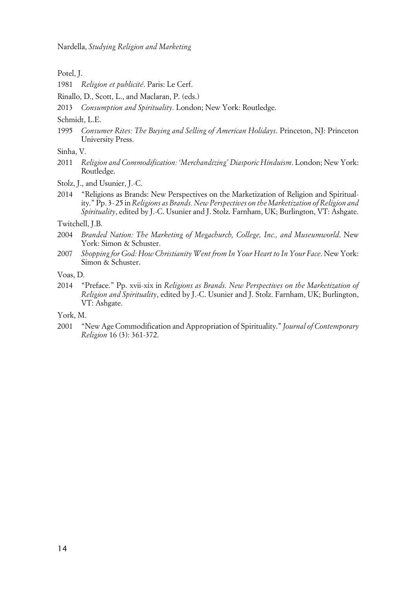Potel, J.

1981 *Religion et publicité*. Paris: Le Cerf.

Rinallo, D., Scott, L., and Maclaran, P. (eds.)

2013 *Consumption and Spirituality*. London; New York: Routledge.

Schmidt, L.E.

1995 *Consumer Rites: The Buying and Selling of American Holidays*. Princeton, NJ: Princeton University Press.

Sinha, V.

- 2011 *Religion and Commodification: 'Merchandizing' Diasporic Hinduism*. London; New York: Routledge.
- Stolz, J., and Usunier, J.-C.
- 2014 "Religions as Brands: New Perspectives on the Marketization of Religion and Spirituality." Pp. 3- 25 in *Religions as Brands. New Perspectives on the Marketization of Religion and Spirituality*, edited by J.-C. Usunier and J. Stolz. Farnham, UK; Burlington, VT: Ashgate.

Twitchell, J.B.

- 2004 *Branded Nation: The Marketing of Megachurch, College, Inc., and Museumworld*. New York: Simon & Schuster.
- 2007 *Shopping for God: How Christianity Went from In Your Heart to In Your Face*. New York: Simon & Schuster.

Voas, D.

2014 "Preface." Pp. xvii-xix in *Religions as Brands. New Perspectives on the Marketization of Religion and Spirituality*, edited by J.-C. Usunier and J. Stolz. Farnham, UK; Burlington, VT: Ashgate.

York, M.

2001 "New Age Commodification and Appropriation of Spirituality." *Journal of Contemporary Religion* 16 (3): 361-372.